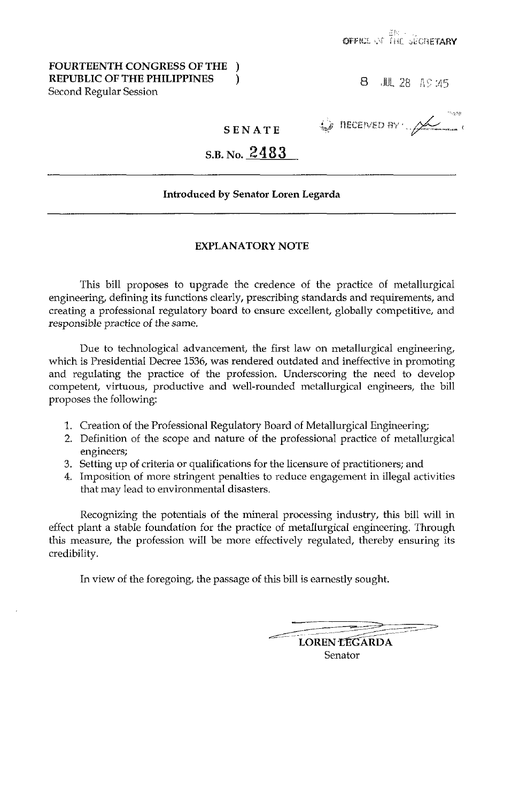# **FOURTEENTH CONGRESS OF THE** ) **REPUBLIC OF THE PHILIPPINES** ) Second Regular Session

8. JUL 28 AS 25

**O RECEIVED BY** A

# S.B. No. 2483

**SENATE** 

# **Introduced by Senator Loren Legarda**

# **EXPLANATORY NOTE**

This bill proposes to upgrade the credence of the practice of metallurgical engineering, defining its functions clearly, prescribing standards and requirements, and creating a professional regulatory board to ensure excellent, globally competitive, and responsible practice of the same.

Due to technological advancement, the first law on metallurgical engineering, which is Presidential Decree 1536, was rendered outdated and ineffective in promoting and regulating the practice of the profession. Underscoring the need to develop competent, virtuous, productive and well-rounded metallurgical engineers, the bill proposes the following:

- 1. Creation of the Professional Regulatory Board of Metallurgical Engineering;
- 2. Definition of the scope and nature of the professional practice of metallurgical engineers;
- 3. Setting up of criteria or qualifications for the licensure of practitioners; and
- 4. Imposition of more stringent penalties to reduce engagement in illegal activities that may lead to environmental disasters.

Recognizing the potentials of the mineral processing industry, this bill will in effect plant a stable foundation for the practice of metallurgical engineering. Through this measure, the profession will be more effectively regulated, thereby ensuring its credibility.

In view of the foregoing, the passage of this bill is earnestly sought.

**LOREN LEGARDA** Senator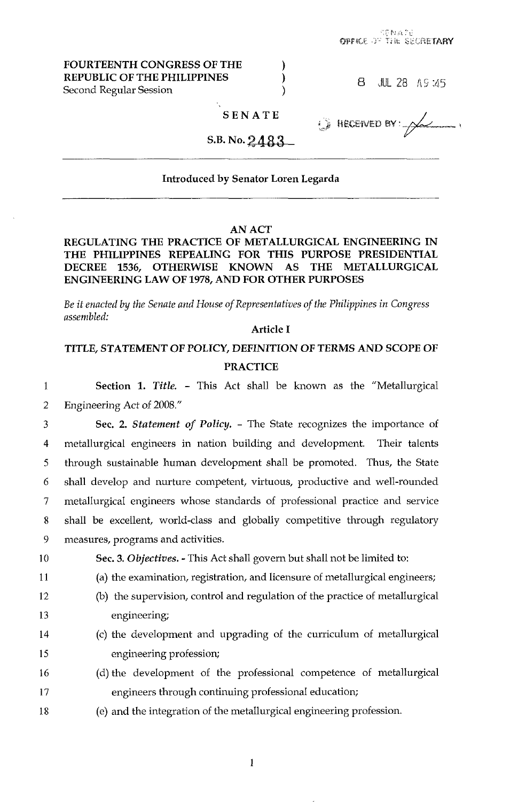| FOURTEENTH CONGRESS OF THE<br><b>REPUBLIC OF THE PHILIPPINES</b><br>Second Regular Session |        |  | 8 JUL 28 AS 145                      |  |
|--------------------------------------------------------------------------------------------|--------|--|--------------------------------------|--|
|                                                                                            | SENATE |  | $\odot$ Heceived BY: $\cancel{\sim}$ |  |
| S.B. No. $2483$                                                                            |        |  |                                      |  |

enate<br>Oppke of the secretary

#### Introduced **by** Senator Loren Legarda

#### AN ACT

# REGULATING THE PRACTICE OF METALLURGICAL ENGINEERING IN THE PHILIPPINES REPEALING FOR THIS PURPOSE PRESIDENTIAL DECREE **1536,** OTHERWISE KNOWN AS THE METALLURGICAL ENGINEERING LAW OF 1978, AND FOR OTHER PURPOSES

*Be if enacted by the Senate and House of Representatives offke Philippines in Congress assembled:* 

#### Article I

# TITLE, STATEMENT OF POLICY, DEFINITION OF TERMS AND SCOPE OF PRACTICE

1 2 Section 1. *Title.* - This Act shall be known as the "Metallurgical Engineering Act of 2008."

3 4 *5*  6 *7*  **8**  9 Sec. 2. *Statement* of *Policy.* - The State recognizes the importance of metallurgical engineers in nation building and development. Their talents through sustainable human development shall be promoted. Thus, the State shall develop and nurture competent, virtuous, productive and well-rounded metallurgical engineers whose standards of professional practice and service shall be excellent, world-class and globally competitive through regulatory measures, programs and activities.

10

11

Sec. **3.** *Objectives.* - This Act shall govern but shall not be limited to:

- **(a)** the examination, registration, and licensure of metallurgical engineers;
- 12 13 (b) the supervision, control and regulation of the practice of metallurgical engineering;
- 14 15 (c) the development and upgrading of the curriculum of metallurgical engineering profession;
- 16 17 (d) the development of the professional competence of metallurgical engineers through continuing professional education;
- 18 (e) and the integration of the metallurgical engineering profession.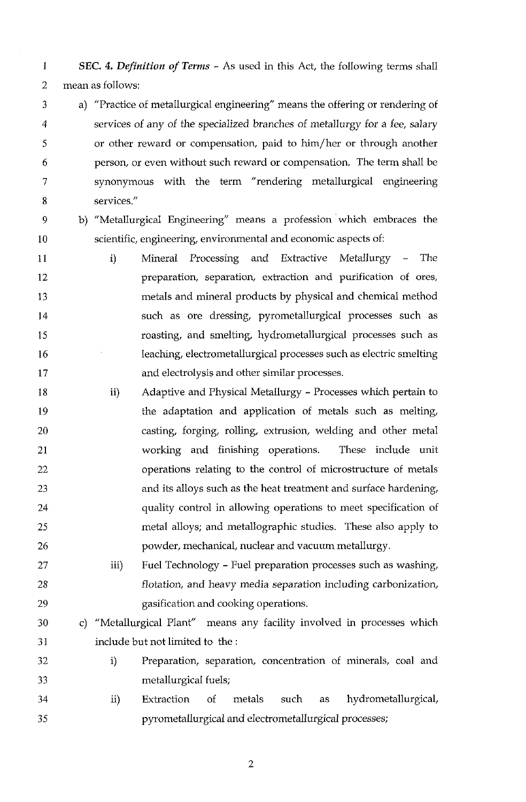1 2 mean as follows: **SEC.** *4. Definition of Terms* - As used in this Act, the following terms shall

- 3 4 5 *6*  7 8 a) "Practice of metallurgical engineering" means the offering or rendering of services of any of the specialized branches of metallurgy for a fee, salary or other reward or compensation, paid to him/her or through another person, or even without such reward or compensation. The term shall be synonymous with the term "rendering metallurgical engineering services."
- 9 10

b) "Metallurgical Engineering" means a profession 'which embraces the scientific, engineering, environmental and economic aspects of:

- 11 12 13 14 15 16 17 i) Mineral Processing and Extractive Metallurgy - The preparation, separation, extraction and purification of ores, metals and mineral products by physical and chemical method such as ore dressing, pyrometallurgical processes such as roasting, and smelting, hydrometallurgical processes such as leaching, electrometallurgical processes such as electric smelting and electrolysis and other similar processes.
- 18 19 20 21 22 23 24 25 26 Adaptive and Physical Metallurgy - Processes which pertain to the adaptation and application of metals such as melting, casting, forging, rolling, extrusion, welding and other metal working and finishing operations. These include unit operations relating to the control of microstructure of metals and its alloys such as the heat treatment and surface hardening, quality control in allowing operations to meet specification of metal alloys; and metallographic studies. These also apply to powder, mechanical, nuclear and vacuum metallurgy. ii)
- 27 28 29 Fuel Technology - Fuel preparation processes such as washing, flotation, and heavy media separation including carbonization, gasification and cooking operations. iii)
- 30 31 c) "Metallurgical Plant" means any facility involved in processes which include but not limited to the :
- 32 33 i) Preparation, separation, concentration of minerals, coal and metallurgical fuels;
- 34 35 ii) Extraction of metals such as hydrometallurgical, pyrometallurgical and electrometallurgical processes;

*L*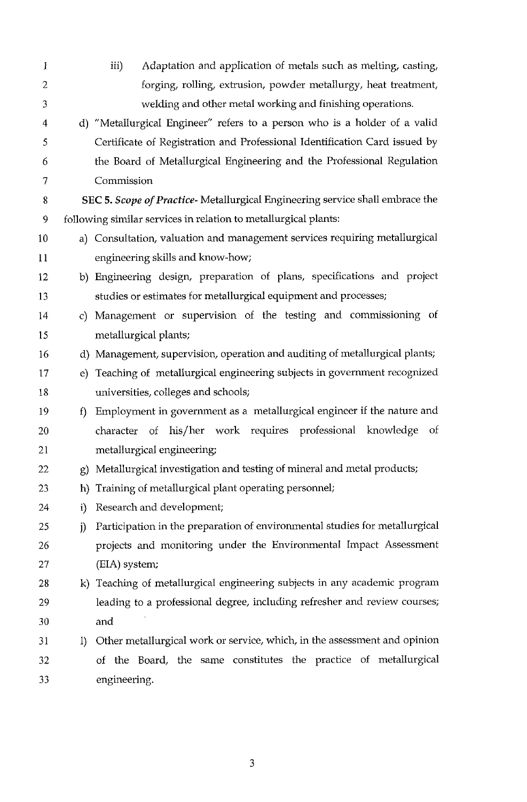| 1            |                  | Adaptation and application of metals such as melting, casting,<br>iii)       |
|--------------|------------------|------------------------------------------------------------------------------|
| $\mathbf{2}$ |                  | forging, rolling, extrusion, powder metallurgy, heat treatment,              |
| 3            |                  | welding and other metal working and finishing operations.                    |
| 4            |                  | d) "Metallurgical Engineer" refers to a person who is a holder of a valid    |
| 5            |                  | Certificate of Registration and Professional Identification Card issued by   |
| 6            |                  | the Board of Metallurgical Engineering and the Professional Regulation       |
| 7            |                  | Commission                                                                   |
| 8            |                  | SEC 5. Scope of Practice-Metallurgical Engineering service shall embrace the |
| 9            |                  | following similar services in relation to metallurgical plants:              |
| 10           |                  | a) Consultation, valuation and management services requiring metallurgical   |
| 11           |                  | engineering skills and know-how;                                             |
| 12           |                  | b) Engineering design, preparation of plans, specifications and project      |
| 13           |                  | studies or estimates for metallurgical equipment and processes;              |
| 14           | $\mathbf{c}$     | Management or supervision of the testing and commissioning of                |
| 15           |                  | metallurgical plants;                                                        |
| 16           | d)               | Management, supervision, operation and auditing of metallurgical plants;     |
| 17           | e)               | Teaching of metallurgical engineering subjects in government recognized      |
| 18           |                  | universities, colleges and schools;                                          |
| 19           | f                | Employment in government as a metallurgical engineer if the nature and       |
| 20           |                  | of his/her work requires professional knowledge<br>Οf<br>character           |
| 21           |                  | metallurgical engineering;                                                   |
| 22           | g)               | Metallurgical investigation and testing of mineral and metal products;       |
| 23           | h)               | Training of metallurgical plant operating personnel;                         |
| 24           | i)               | Research and development;                                                    |
| 25           | j)               | Participation in the preparation of environmental studies for metallurgical  |
| 26           |                  | projects and monitoring under the Environmental Impact Assessment            |
| 27           |                  | (EIA) system;                                                                |
| 28           |                  | k) Teaching of metallurgical engineering subjects in any academic program    |
| 29           |                  | leading to a professional degree, including refresher and review courses;    |
| 30           |                  | and                                                                          |
| 31           | $\left  \right $ | Other metallurgical work or service, which, in the assessment and opinion    |
| 32           |                  | of the Board, the same constitutes the practice of metallurgical             |
| 33           |                  | engineering.                                                                 |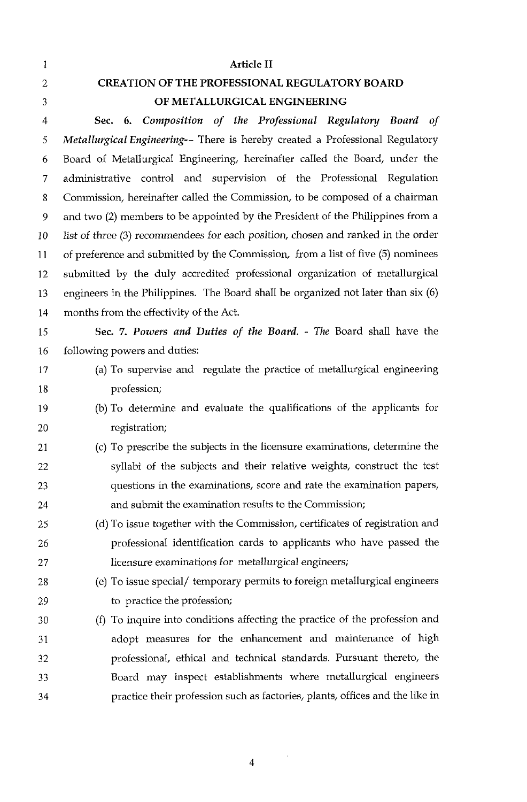| 1              | <b>Article II</b>                                                                  |
|----------------|------------------------------------------------------------------------------------|
| $\overline{2}$ | <b>CREATION OF THE PROFESSIONAL REGULATORY BOARD</b>                               |
| 3              | OF METALLURGICAL ENGINEERING                                                       |
| 4              | Sec. 6. Composition of the Professional Regulatory Board of                        |
| 5              | Metallurgical Engineering-- There is hereby created a Professional Regulatory      |
| 6              | Board of Metallurgical Engineering, hereinafter called the Board, under the        |
| $\overline{7}$ | administrative control and supervision of the Professional Regulation              |
| 8              | Commission, hereinafter called the Commission, to be composed of a chairman        |
| 9              | and two (2) members to be appointed by the President of the Philippines from a     |
| 10             | list of three (3) recommendees for each position, chosen and ranked in the order   |
| 11             | of preference and submitted by the Commission, from a list of five (5) nominees    |
| 12             | submitted by the duly accredited professional organization of metallurgical        |
| 13             | engineers in the Philippines. The Board shall be organized not later than $six(6)$ |
| 14             | months from the effectivity of the Act.                                            |
| 15             | Sec. 7. Powers and Duties of the Board. - The Board shall have the                 |
| 16             | following powers and duties:                                                       |
| 17             | (a) To supervise and regulate the practice of metallurgical engineering            |
| 18             | profession;                                                                        |
| 19             | (b) To determine and evaluate the qualifications of the applicants for             |
| 20             | registration;                                                                      |
| 21             | (c) To prescribe the subjects in the licensure examinations, determine the         |
| 22             | syllabi of the subjects and their relative weights, construct the test             |
| 23             | questions in the examinations, score and rate the examination papers,              |
| 24             | and submit the examination results to the Commission;                              |
| 25             | (d) To issue together with the Commission, certificates of registration and        |
| 26             | professional identification cards to applicants who have passed the                |
| 27             | licensure examinations for metallurgical engineers;                                |
| 28             | (e) To issue special/ temporary permits to foreign metallurgical engineers         |
| 29             | to practice the profession;                                                        |
| 30             | (f) To inquire into conditions affecting the practice of the profession and        |
| 31             | adopt measures for the enhancement and maintenance of high                         |
| 32             | professional, ethical and technical standards. Pursuant thereto, the               |
| 33             | Board may inspect establishments where metallurgical engineers                     |
| 34             | practice their profession such as factories, plants, offices and the like in       |
|                |                                                                                    |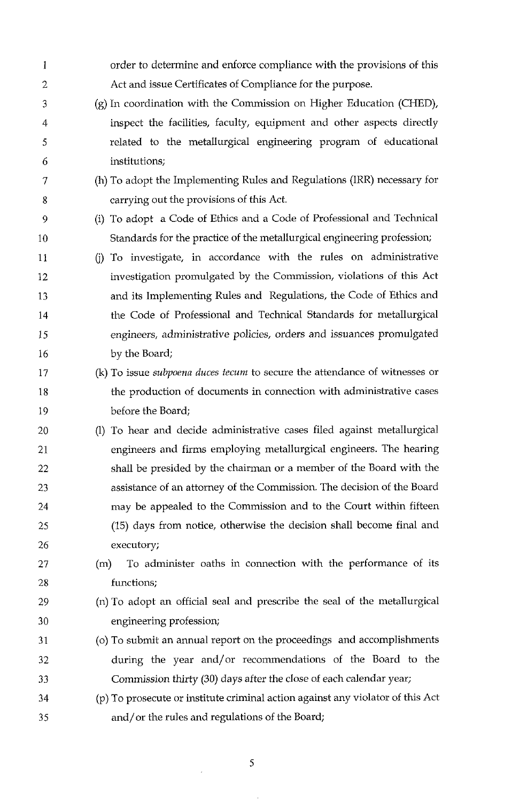| 1  | order to determine and enforce compliance with the provisions of this             |
|----|-----------------------------------------------------------------------------------|
| 2  | Act and issue Certificates of Compliance for the purpose.                         |
| 3  | (g) In coordination with the Commission on Higher Education (CHED),               |
| 4  | inspect the facilities, faculty, equipment and other aspects directly             |
| 5  | related to the metallurgical engineering program of educational                   |
| 6  | institutions;                                                                     |
| 7  | (h) To adopt the Implementing Rules and Regulations (IRR) necessary for           |
| 8  | carrying out the provisions of this Act.                                          |
| 9  | (i) To adopt a Code of Ethics and a Code of Professional and Technical            |
| 10 | Standards for the practice of the metallurgical engineering profession;           |
| 11 | To investigate, in accordance with the rules on administrative<br>(i)             |
| 12 | investigation promulgated by the Commission, violations of this Act               |
| 13 | and its Implementing Rules and Regulations, the Code of Ethics and                |
| 14 | the Code of Professional and Technical Standards for metallurgical                |
| 15 | engineers, administrative policies, orders and issuances promulgated              |
| 16 | by the Board;                                                                     |
| 17 | (k) To issue <i>subpoena duces tecum</i> to secure the attendance of witnesses or |
| 18 | the production of documents in connection with administrative cases               |
| 19 | before the Board;                                                                 |
| 20 | (I) To hear and decide administrative cases filed against metallurgical           |
| 21 | engineers and firms employing metallurgical engineers. The hearing                |
| 22 | shall be presided by the chairman or a member of the Board with the               |
| 23 | assistance of an attorney of the Commission. The decision of the Board            |
| 24 | may be appealed to the Commission and to the Court within fifteen                 |
| 25 | (15) days from notice, otherwise the decision shall become final and              |
| 26 | executory;                                                                        |
| 27 | To administer oaths in connection with the performance of its<br>(m)              |
| 28 | functions;                                                                        |
| 29 | (n) To adopt an official seal and prescribe the seal of the metallurgical         |
| 30 | engineering profession;                                                           |
| 31 | (o) To submit an annual report on the proceedings and accomplishments             |
| 32 | during the year and/or recommendations of the Board to the                        |
| 33 | Commission thirty (30) days after the close of each calendar year;                |
| 34 | (p) To prosecute or institute criminal action against any violator of this Act    |
| 35 | and/or the rules and regulations of the Board;                                    |

 $\frac{1}{2} \sum_{i=1}^{n} \frac{1}{2} \sum_{j=1}^{n} \frac{1}{2} \sum_{j=1}^{n} \frac{1}{2} \sum_{j=1}^{n} \frac{1}{2} \sum_{j=1}^{n} \frac{1}{2} \sum_{j=1}^{n} \frac{1}{2} \sum_{j=1}^{n} \frac{1}{2} \sum_{j=1}^{n} \frac{1}{2} \sum_{j=1}^{n} \frac{1}{2} \sum_{j=1}^{n} \frac{1}{2} \sum_{j=1}^{n} \frac{1}{2} \sum_{j=1}^{n} \frac{1}{2} \sum_{j=1}^{n$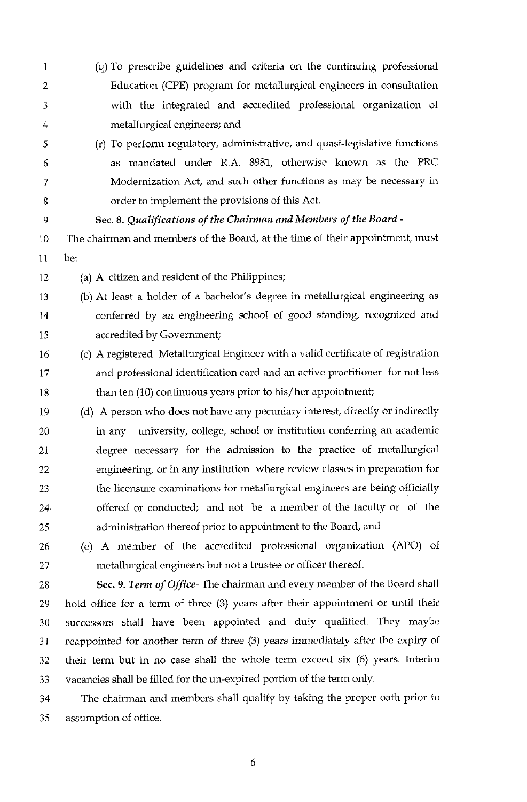- 1 2 3 4 (9) To prescribe guidelines and criteria on the continuing professional Education (CPE) program for metallurgical engineers in consultation with the integrated and accredited professional organization of metallurgical engineers; and
- 5 6 7 8 (r) To perform regulatory, administrative, and quasi-legislative functions as mandated under R.A. 8981, otherwise known as the PRC Modernization Act, and such other functions as may be necessary in order to implement the provisions of this Act.
	- *Sec. 8. Qualifications* of *the Chairman and Members of the Board* -
- 10 11 The chairman and members of the Board, at the time of their appointment, must be:
- 12 (a) A citizen and resident of the Philippines;

- 13 14 15 (b) At least a holder of a bachelor's degree in metallurgical engineering as conferred by an engineering school of good standing, recognized and accredited by Government;
- 16 17 18 (c) A registered Metallurgical Engineer with a valid certificate of registration and professional identification card and an active practitioner for not less than ten (10) continuous years prior to his/ her appointment;
- 19 20 21 22 23 24. 25 (d) A person who does not have any pecuniary interest, directly or indirectly in any university, college, school or institution conferring an academic degree necessary for the admission to the practice of metallurgical engineering, or in any institution where review classes in preparation for the licensure examinations for metallurgical engineers are being officially offered or conducted; and not be a member of the faculty or of the administration thereof prior to appointment to the Board, and
- 26 27 (e) A member of the accredited professional organization (APO) of metallurgical engineers but not a trustee or officer thereof.
- 28 29 30 31 *32*  33 *Sec.* **9.** *Term* of *Office-* The chairman and every member of the Board shall hold office for a term of three (3) years after their appointment or until their successors shall have been appointed and duly qualified. They maybe reappointed for another term of three (3) years immediately after the expiry of their term but in no case shall the whole term exceed six (6) years. Interim vacancies shall be filled for the un-expired portion of the term only.
- 34 35 The chairman and members shall qualify by taking the proper oath prior to assumption of office.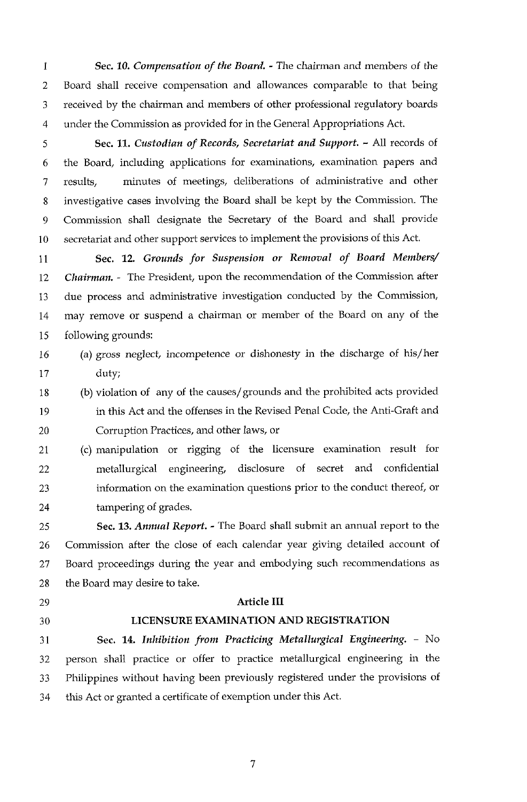1 2 3 4 Sec. *10. Compensation of the Board.* - The chairman and members of the Board shall receive compensation and allowances comparable to that being received by the chairman and members of other professional regulatory boards under the Commission as provided for in the General Appropriations Act.

5 *6 7*  8 9 10 Sec. 11. *Custodian of Records, Secretariat and Support.* - All records of the Board, including applications for examinations, examination papers and results, minutes of meetings, deliberations of administrative and other investigative cases involving the Board shall be kept by the Commission. The Commission shall designate the Secretary of the Board and shall provide secretariat and other support services to implement the provisions of this Act.

11 12 13 14 15 Sec. **12.** *Grounds for Suspension or Removal of Board Members/ Chairman.* - The President, upon the recommendation of the Commission after due process and administrative investigation conducted by the Commission, may remove or suspend a chairman or member of the Board on any of the following grounds:

16 17 (a) gross neglect, incompetence or dishonesty in the discharge of his/her duty;

18 19 20 (b) violation of any of the causes/grounds and the prohibited acts provided in this Act and the offenses in the Revised Penal Code, the Anti-Graft and Corruption Practices, and other laws, or

21 22 23 24 (c) manipulation or rigging of the licensure examination result for metallurgical engineering, disclosure of secret and confidential information on the examination questions prior to the conduct thereof, or tampering of grades.

25 26 27 28 Sec. **13.** *Annual Report.* - The Board shall submit an annual report to the Commission after the close of each calendar year giving detailed account of Board proceedings during the year and embodying such recommendations as the Board may desire to take.

- 29
- 30

# **LICENSURE EXAMINATION AND REGISTRATION**

Article **I11** 

31 32 33 34 Sec. 14. Inhibition from Practicing Metallurgical Engineering. - No person shall practice or offer to practice metallurgical engineering in the Philippines without having been previously registered under the provisions of this Act or granted a certificate of exemption under this Act.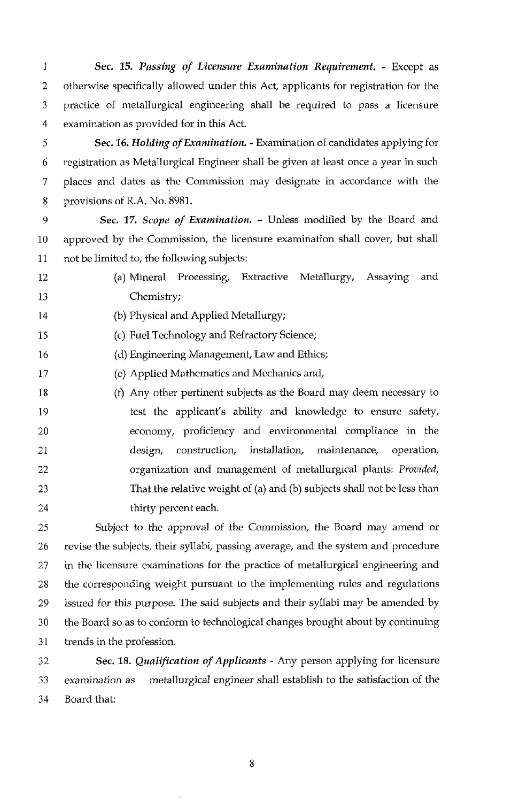I 2 3 4 *Sec.* **15.** *Passing of Licensure Examination Requirement.* - Except as otherwise specifically allowed under this Act, applicants for registration for the practice of metallurgical engineering shall be required to pass **a** licensure examination as provided for in this Act.

5 6 7 8 **Sec. 16. Holding of Examination. - Examination of candidates applying for** registration as Metallurgical Engineer shall be given at least once a year in such places and dates as the Commission may designate in accordance with the provisions of R.A. No. 8981.

9 10 11 *Sec.* **17.** *Scope of Examination.* - Unless modified by the Board and approved by the Commission, the licensure examination shall cover, but shall not be limited to, the following subjects:

12 13 **(a)** Mineral Processing, Extractive Metallurgy, Assaying and Chemistry;

14 (b) Physical and Applied Metallurgy;

15 (c) Fuel Technology and Refractory Science;

16 (d) Engineering Management, Law and Ethics;

17 (e) Applied Mathematics and Mechanics and,

18 19 20 21 22 23 24 (f) Any other pertinent subjects as the Board may deem necessary to test the applicant's ability and knowledge to ensure safety, economy, proficiency and environmental compliance in the design, construction, installation, maintenance, operation, organization and management of metallurgical plants: *Provided,*  That the relative weight of **(a)** and (b) subjects shall not be less than thirty percent each.

25 26 27 28 29 30 31 Subject to the approval of the Commission, the Board may amend or revise the subjects, their syllabi, passing average, and the system and procedure in the licensure examinations for the practice of metallurgical engineering and the corresponding weight pursuant to the implementing rules and regulations issued for this purpose. The said subjects and their syllabi may be amended by the Board so as to conform to technological changes brought about by continuing trends in the profession.

32 33 34 *Sec.* **18.** *Qualification* of *Applicants* - Any person applying for licensure examination as metallurgical engineer shall establish to the satisfaction of the Board that: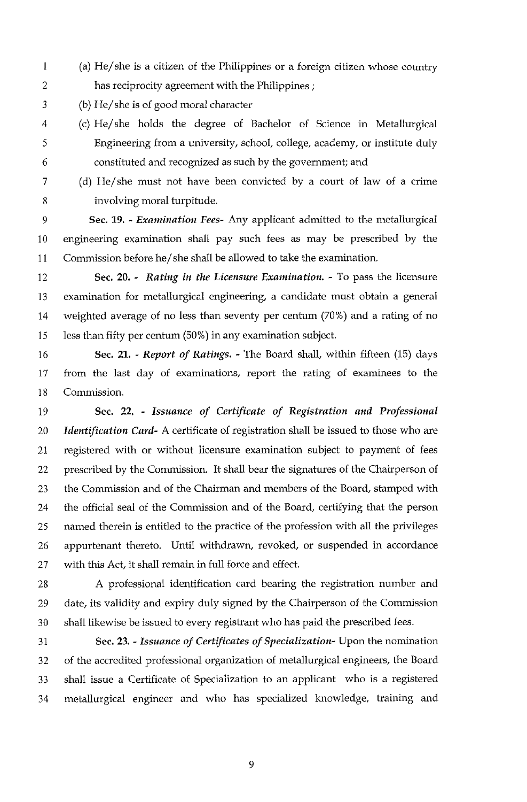1 2 (a) He/she is a citizen of the Philippines or a foreign citizen whose country has reciprocity agreement with the Philippines ;

- 3 (b) He/she is of good moral character
- 4 5 6 (c) He/she holds the degree of Bachelor of Science in Metallurgical Engineering from a university, school, college, academy, or institute duly constituted and recognized as such by the government; and
	-

7

8

(d) He/she must not have been convicted by a court of law of a crime involving moral turpitude.

9 10 11 *Sec.* **19.** - *Examination Fees-* Any applicant admitted to the metallurgical engineering examination shall pay such fees as may be prescribed by the Commission before he/she shall be allowed to take the examination.

12 13 14 15 *Sec. 20.* - *Rating in the Licensure Examination.* - To pass the licensure examination for metallurgical engineering, a candidate must obtain a general weighted average of no less than seventy per centum (70%) and a rating of no less than fifty per centum (50%) in any examination subject.

16 17 18 *Sec.* **21.** - *Report of Ratings.* - The Board shall, within fifteen (15) days from the last day of examinations, report the rating of examinees to the Commission.

19 20 21 22 23 24 25 26 27 **Sec.** *22.* - *Issuance* of *Certificate* of *Registration and Professional Identification Card-* A certificate of registration shall be issued to those who are registered with or without licensure examination subject to payment of fees prescribed by the Commission. It shall bear the signatures of the Chairperson of the Commission and of the Chairman and members of the Board, stamped with the official seal of the Commission and of the Board, certifying that the person named therein is entitled to the practice of the profession with all the privileges appurtenant thereto. Until withdrawn, revoked, or suspended in accordance with this Act, it shall remain in full force and effect.

28 29 30 A professional identification card bearing the registration number and date, its validity and expiry duly signed by the Chairperson of the Commission shall likewise be issued to every registrant who has paid the prescribed fees.

31 32 33 *Sec. 23.* - *Issuance of Certificates of Specialization-* Upon the nomination of the accredited professional organization of metallurgical engineers, the Board shall issue a Certificate of Specialization to an applicant who is a registered 34 metallurgical engineer and who has specialized knowledge, training and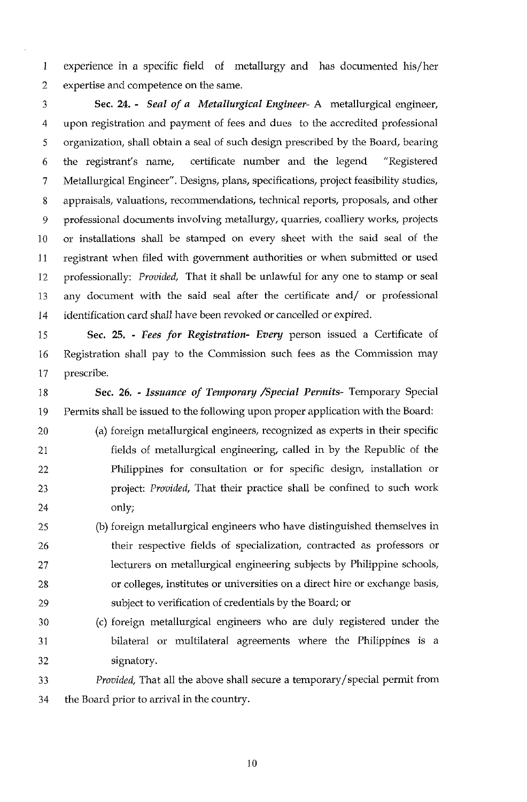1 2 experience in a specific field of metallurgy and has documented his/her expertise and competence on the same.

3 4 5 6 7 **8**  9 10 11 12 13 14 *Sec.* **24.** - *Seal of a Metallurgical Engineer-* A metallurgical engineer, upon registration and payment of fees and dues to the accredited professional organization, shall obtain a seal of such design prescribed by the Board, bearing the registrant's name, certificate number and the legend "Registered Metallurgical Engineer". Designs, plans, specifications, project feasibility studies, appraisals, valuations, recommendations, technical reports, proposals, and other professional documents involving metallurgy, quarries, coalliery works, projects or installations shall be stamped on every sheet with the said seal of the registrant when filed with government authorities or when submitted or used professionally: *Provided,* That it shall be unlawful for any one to stamp or seal any document with the said seal after the certificate and/ or professional identification card shall have been revoked or cancelled or expired.

15 16 17 *Sec. 25.* - *Fees for Registration- Every* person issued a Certificate of Registration shall pay to the Commission such fees as the Commission may prescribe.

18 19 *Sec. 26.* - *Issuance of Temporary /Special Permits-* Temporary Special Permits shall be issued to the following upon proper application with the Board:

- 20 21 22 23 24 (a) foreign metallurgical engineers, recognized as experts in their specific fields of metallurgical engineering, called in by the Republic of the Philippines for consultation or for specific design, installation or project: *Provided,* That their practice shall be confined to such work only;
- 25 26 27 28 29 (b) foreign metallurgical engineers who have distinguished themselves in their respective fields of specialization, contracted as professors or lecturers on metallurgical engineering subjects by Philippine schools, or colleges, institutes or universities on a direct hire or exchange basis, subject to verification of credentials by the Board; or
- 30 31 32 (c) foreign metallurgical engineers who are duly registered under the bilateral or multilateral agreements where the Philippines is a signatory.

33 *Provided,* That all the above shall secure a temporary/special permit from 34 the Board prior to arrival in the country.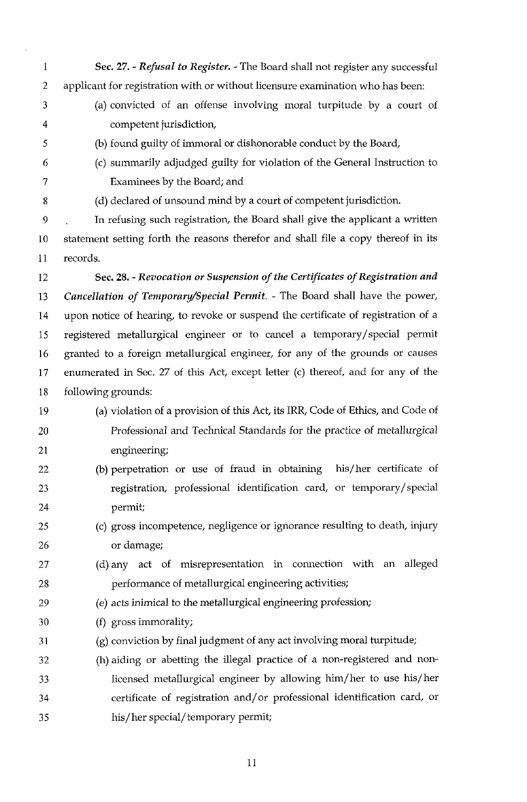1 2 Sec. *27.* - *Refusal to Register.* - The Board shall not register any successful applicant for registration with or without licensure examination who has been:

3 4 (a) convicted of an offense involving moral turpitude by a court of competent jurisdiction,

(b) found guilty of immoral or dishonorable conduct by the Board,

6 7

5

(c) summarily adjudged guilty for violation of the General Instruction to Examinees by the Board; and

8

(d) declared of unsound mind by a court of competent jurisdiction.

9 10 11 In refusing such registration, the Board shall give the applicant a written statement setting forth the reasons therefor and shall file a copy thereof in its records.

12 13 14 15 16 17 18 Sec. **28.** *-Revocation or Suspension* of *the Certificates* of *Registration and Cancellation* of *Temporay/Special Permit.* - The Board shall have the power, upon notice of hearing, to revoke or suspend the certificate of registration of a registered metallurgical engineer or to cancel a temporary/special permit granted to a foreign metallurgical engineer, for any of the grounds or causes enumerated in Sec. 27 of this Act, except letter (c) thereof, and for any of the following grounds:

- 19 (a) violation of a provision of this Act, its IRR, Code of Ethics, and Code of
- 20 21 Professional and Technical Standards for the practice of metallurgical engineering;
- 22 23 24 (b) perpetration or use of fraud in obtaining his/her certificate of registration, professional identification card, or temporary/special permit;
- 25 26 (c) gross incompetence, negligence or ignorance resulting to death, injury or damage;
- 27 28 (d) any act of misrepresentation in connection with an alleged performance of metallurgical engineering activities;
- 29 (e) acts inimical to the metallurgical engineering profession;
- 30 (f) gross immorality;
- 31 (g) conviction by final judgment of any act involving moral turpitude;
- 32 33 34 35 (h) aiding or abetting the illegal practice of a non-registered and nonlicensed metallurgical engineer by allowing him/her to use his/ her certificate of registration and/or professional identification card, or his/ her special/ temporary permit;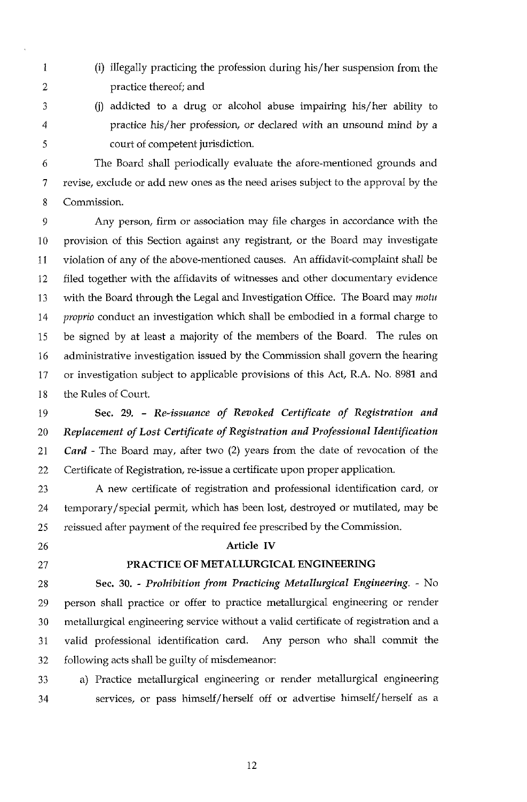- 2 (i) illegally practicing the profession during his/ her suspension from the practice thereof; and
- 3 4

1

(i) addicted to a drug or alcohol abuse impairing his/her ability to practice his/her profession, or declared with an unsound mind by a court of competent jurisdiction.

6 7 8 The Board shall periodically evaluate the afore-mentioned grounds and revise, exclude or add new ones as the need arises subject to the approval by the Commission.

9 10 11 12 13 14 15 16 17 18 Any person, firm or association may file charges in accordance with the provision of this Section against any registrant, or the Board may investigate violation of any of the above-mentioned causes. An affidavit-complaint shall be filed together with the affidavits of witnesses and other documentary evidence with the Board through the Legal and Investigation Office. The Board may *motu pvopvio* conduct an investigation which shall be embodied in a formal charge to be signed by at least a majority of the members of the Board. The rules on administrative investigation issued by the Commission shall govern the hearing or investigation subject to applicable provisions of this Act, R.A. No. 8981 and the Rules of Court.

19 20 21 22 *Sec.* **29.** - *Re-issuance of Revoked Certificate of Registration and Replacement of Lost Certificate of Registvation and Professional Identification Card* - The Board may, after two (2) years from the date of revocation of the Certificate of Registration, re-issue a certificate upon proper application.

23 24 25 A new certificate of registration and professional identification card, or temporary/special permit, which has been lost, destroyed or mutilated, may be reissued after payment of the required fee prescribed by the Commission.

- 26
- 27

# 28

# **PRACTICE OF METALLURGICAL ENGINEERING**

**Article IV** 

29 30 31 32 *See. 30.* - *Prohibition from Practicing Metallurgical Engineering.* - No person shall practice or offer to practice metallurgical engineering or render metallurgical engineering service without a valid certificate of registration and a valid professional identification card. Any person who shall commit the following acts shall be guilty of misdemeanor:

33 a) Practice metallurgical engineering or render metallurgical engineering 34 services, or pass himself/ herself off or advertise himself/ herself as a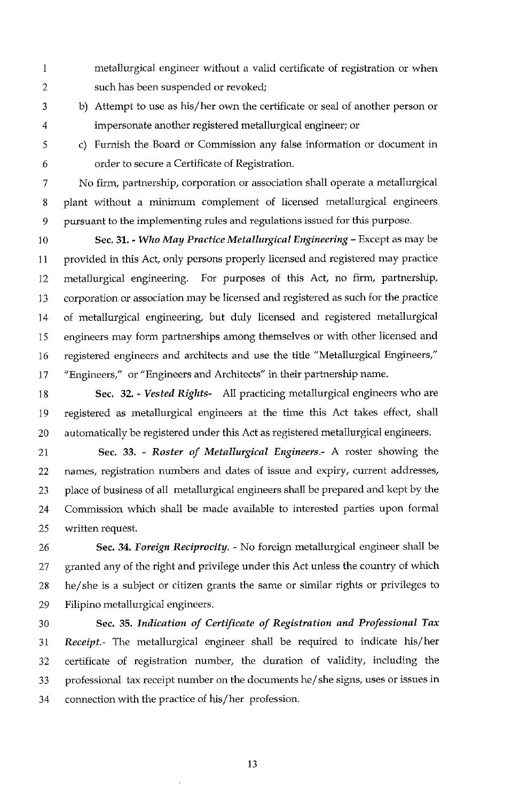- 1 2 metallurgical engineer without a valid certificate of registration or when such has been suspended or revoked;
- 3 4 b) Attempt to use as his/her own the certificate or seal of another person or impersonate another registered metallurgical engineer; or
- 5 6 c) Furnish the Board or Commission any false information or document in order to secure a Certificate of Registration.

7 8 9 No firm, partnership, corporation or association shall operate a metallurgical plant without a minimum complement of licensed metallurgical engineers pursuant to the implementing rules and regulations issued for this purpose.

10 11 12 13 14 15 16 17 *Sec.* **31.** - *Who May Practice Metallurgical Engineering* - Except as may be provided in this Act, only persons properly licensed and registered may practice metallurgical engineering. For purposes of this Act, no firm, partnership, corporation or association may be licensed and registered as such for the practice of metallurgical engineering, but duly licensed and registered metallurgical engineers may form partnerships among themselves or with other licensed and registered engineers and architects and use the title "Metallurgical Engineers," "Engineers," or "Engineers and Architects" in their partnership name.

18 19 20 *Sec. 32.* - *Vested Rights-* All practicing metallurgical engineers who are registered as metallurgical engineers at the time this Act takes effect, shall automatically be registered under this Act as registered metallurgical engineers.

21 22 23 24 25 *Sec. 33.* - *Roster of Metallurgical Engineers.-* **A** roster showing the names, registration numbers and dates of issue and expiry, current addresses, place of business of all metallurgical engineers shall be prepared and kept by the Commission which shall be made available to interested parties upon formal written request.

26 27 28 29 *Sec.* **34.** *Foreign Reciprocity.* - No foreign metallurgical engineer shall be granted any of the right and privilege under this Act unless the country of which he/she is a subject or citizen grants the same or similar rights or privileges to Filipino metallurgical engineers.

30 31 32 33 34 *Sec. 35. Indication of Certificate of Registration and Professional Tax Receipt.-* The metallurgical engineer shall be required to indicate his/ her certificate of registration number, the duration of validity, including the professional tax receipt number on the documents he/she signs, uses or issues in connection with the practice of his/her profession.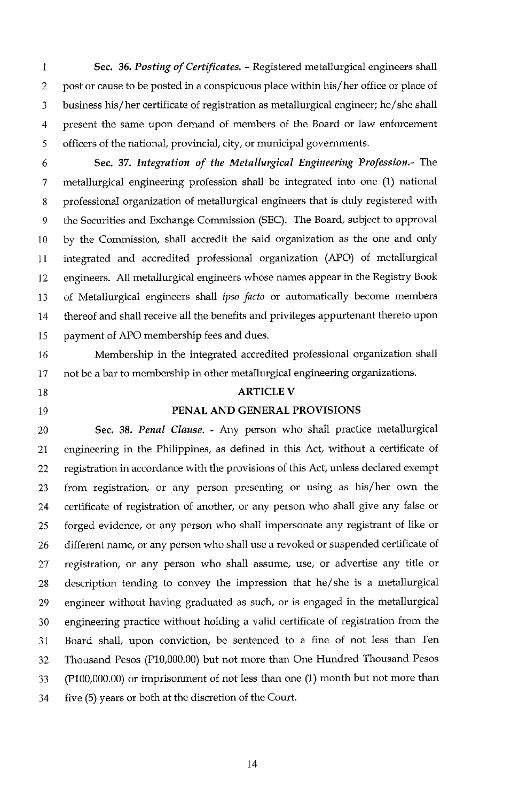1 2 3 4 5 *Sec. 36. Posting of Certificates.* - Registered metallurgical engineers shall post or cause to be posted in a conspicuous place within his/her office or place of business his/ her certificate of registration as metallurgical engineer; he/she shall present the same upon demand of members of the Board or law enforcement officers of the national, provincial, city, or municipal governments.

6 7 8 9 10 11 12 13 14 15 **Sec.** *37. Integration of the Metallurgical Engineering Profession.-* The metallurgical engineering profession shall be integrated into one (1) national professional organization of metallurgical engineers that is duly registered with the Securities and Exchange Commission (SEC). The Board, subject to approval by the Commission, shall accredit the said organization as the one and only integrated and accredited professional organization (APO) of metallurgical engineers. All metallurgical engineers whose names appear in the Registry Book of Metallurgical engineers shall *ipso fucto* or automatically become members thereof and shall receive all the benefits and privileges appurtenant thereto upon payment of APO membership fees and dues.

16 17 Membership in the integrated accredited professional organization shall not be a bar to membership in other metallurgical engineering organizations.

- 18
- 19

#### **ARTICLE V**

#### **PENAL AND GENERAL PROVISIONS**

20 21 22 23 24 25 26 27 28 29 30 31 32 33 34 **Sec.** *38. Penal Clause.* - Any person who shall practice metallurgical engineering in the Philippines, as defined in this Act, without a certificate of registration in accordance with the provisions of this Act, unless declared exempt from registration, or any person presenting or using as his/her own the certificate of registration of another, or any person who shall give any false or forged evidence, or any person who shall impersonate any registrant of like or different name, or any person who shall use a revoked or suspended certificate of registration, or any person who shall assume, use, or advertise any title or description tending to convey the impression that he/she is a metallurgical engineer without having graduated as such, or is engaged in the metallurgical engineering practice without holding a valid certificate of registration from the Board shall, upon conviction, be sentenced to a fine of not less than Ten Thousand Pesos (PlO,OOO.OO) but not more than One Hundred Thousand Pesos (P100,OOO.OO) or imprisonment of not less than one (1) month but not more than five (5) years or both at the discretion of the Court.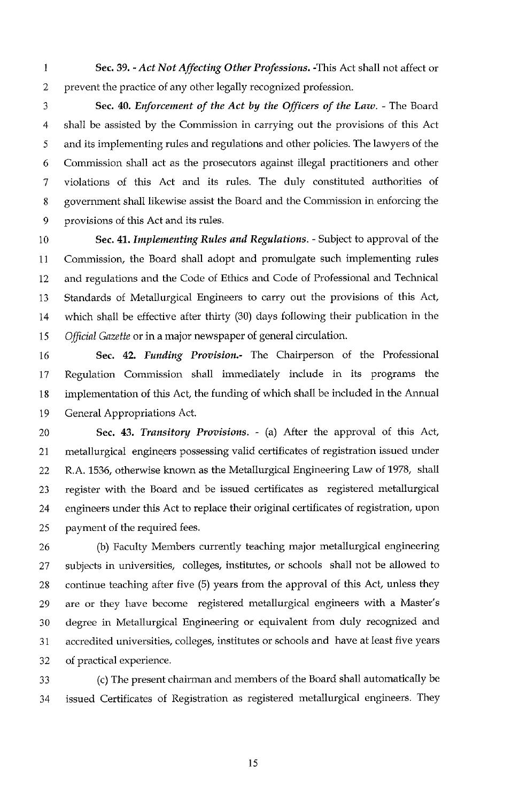1 2 **Sec. 39.** - *Act Not Affecting Other Professions.* -This Act shall not affect or prevent the practice of any other legally recognized profession.

3 4 *5*  6 7 8 9 *Sec.* **40.** *Enforcement of the Act by the Officers of the Law.* - The Board shall be assisted by the Commission in carrying out the provisions of this Act and its implementing rules and regulations and other policies. The lawyers of the Commission shall act as the prosecutors against illegal practitioners and other violations of this Act and its rules. The duly constituted authorities of government shall likewise assist the Board and the Commission in enforcing the provisions of this Act and its rules.

10 11 12 13 14 15 *Sec.* 41. *Implementing Rules and Regulations.* - Subject to approval of the Commission, the Board shall adopt and promulgate such implementing rules and regulations and the Code of Ethics and Code of Professional and Technical Standards of Metallurgical Engineers to carry out the provisions of this Act, which shall be effective after thirty *(30)* days following their publication in the *Official Gazette* or in a major newspaper of general circulation.

16 17 18 19 *Sec.* **42.** *Funding Provision.-* The Chairperson of the Professional Regulation Commission shall immediately include in its programs the implementation of this Act, the funding of which shall be included in the Annual General Appropriations Act.

20 21 22 23 24 25 *Sec.* **43.** *Transitory Provisions.* - (a) After the approval of this Act, metallurgical engineers possessing valid certificates of registration issued under R.A. 1536, otherwise known as the Metallurgical Engineering Law of 1978, shall register with the Board and be issued certificates as registered metallurgical engineers under this Act to replace their original certificates of registration, upon payment of the required fees.

26 27 28 29 30 31 32 (b) Faculty Members currently teaching major metallurgical engineering subjects in universities, colleges, institutes, or schools shall not be allowed to continue teaching after five (5) years from the approval of this Act, unless they are or they have become registered metallurgical engineers with a Master's degree in Metallurgical Engineering or equivalent from duly recognized and accredited universities, colleges, institutes or schools and have at least five years of practical experience.

33 34 (c) The present chairman and members of the Board shall automatically be issued Certificates of Registration as registered metallurgical engineers. They